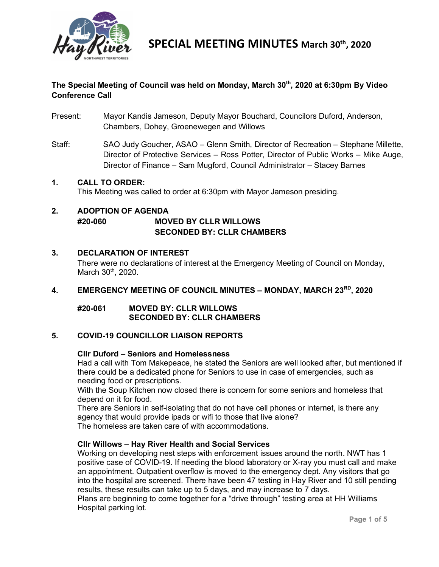

# **The Special Meeting of Council was held on Monday, March 30th, 2020 at 6:30pm By Video Conference Call**

Present: Mayor Kandis Jameson, Deputy Mayor Bouchard, Councilors Duford, Anderson, Chambers, Dohey, Groenewegen and Willows

Staff: SAO Judy Goucher, ASAO – Glenn Smith, Director of Recreation – Stephane Millette, Director of Protective Services – Ross Potter, Director of Public Works – Mike Auge, Director of Finance – Sam Mugford, Council Administrator – Stacey Barnes

# **1. CALL TO ORDER:**

This Meeting was called to order at 6:30pm with Mayor Jameson presiding.

# **2. ADOPTION OF AGENDA #20-060 MOVED BY CLLR WILLOWS SECONDED BY: CLLR CHAMBERS**

# **3. DECLARATION OF INTEREST**

There were no declarations of interest at the Emergency Meeting of Council on Monday, March 30<sup>th</sup>, 2020.

# **4. EMERGENCY MEETING OF COUNCIL MINUTES – MONDAY, MARCH 23RD, 2020**

**#20-061 MOVED BY: CLLR WILLOWS SECONDED BY: CLLR CHAMBERS**

# **5. COVID-19 COUNCILLOR LIAISON REPORTS**

## **Cllr Duford – Seniors and Homelessness**

Had a call with Tom Makepeace, he stated the Seniors are well looked after, but mentioned if there could be a dedicated phone for Seniors to use in case of emergencies, such as needing food or prescriptions.

With the Soup Kitchen now closed there is concern for some seniors and homeless that depend on it for food.

There are Seniors in self-isolating that do not have cell phones or internet, is there any agency that would provide ipads or wifi to those that live alone? The homeless are taken care of with accommodations.

# **Cllr Willows – Hay River Health and Social Services**

Working on developing nest steps with enforcement issues around the north. NWT has 1 positive case of COVID-19. If needing the blood laboratory or X-ray you must call and make an appointment. Outpatient overflow is moved to the emergency dept. Any visitors that go into the hospital are screened. There have been 47 testing in Hay River and 10 still pending results, these results can take up to 5 days, and may increase to 7 days.

Plans are beginning to come together for a "drive through" testing area at HH Williams Hospital parking lot.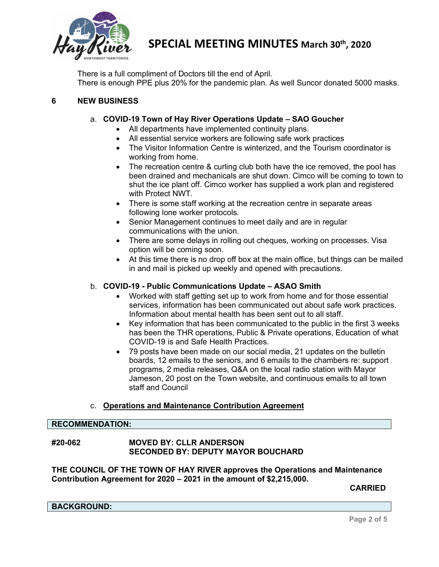

There is a full compliment of Doctors till the end of April.

There is enough PPE plus 20% for the pandemic plan. As well Suncor donated 5000 masks.

# **6 NEW BUSINESS**

- a. **COVID-19 Town of Hay River Operations Update – SAO Goucher**
	- All departments have implemented continuity plans.
	- All essential service workers are following safe work practices
	- The Visitor Information Centre is winterized, and the Tourism coordinator is working from home.
	- The recreation centre & curling club both have the ice removed, the pool has been drained and mechanicals are shut down. Cimco will be coming to town to shut the ice plant off. Cimco worker has supplied a work plan and registered with Protect NWT.
	- There is some staff working at the recreation centre in separate areas following lone worker protocols.
	- Senior Management continues to meet daily and are in regular communications with the union.
	- There are some delays in rolling out cheques, working on processes. Visa option will be coming soon.
	- At this time there is no drop off box at the main office, but things can be mailed in and mail is picked up weekly and opened with precautions.

# b. **COVID-19 - Public Communications Update – ASAO Smith**

- Worked with staff getting set up to work from home and for those essential services, information has been communicated out about safe work practices. Information about mental health has been sent out to all staff.
- Key information that has been communicated to the public in the first 3 weeks has been the THR operations, Public & Private operations, Education of what COVID-19 is and Safe Health Practices.
- 79 posts have been made on our social media, 21 updates on the bulletin boards, 12 emails to the seniors, and 6 emails to the chambers re: support programs, 2 media releases, Q&A on the local radio station with Mayor Jameson, 20 post on the Town website, and continuous emails to all town staff and Council

# c. **Operations and Maintenance Contribution Agreement**

## **RECOMMENDATION:**

## **#20-062 MOVED BY: CLLR ANDERSON SECONDED BY: DEPUTY MAYOR BOUCHARD**

**THE COUNCIL OF THE TOWN OF HAY RIVER approves the Operations and Maintenance Contribution Agreement for 2020 – 2021 in the amount of \$2,215,000.**

**CARRIED**

## **BACKGROUND:**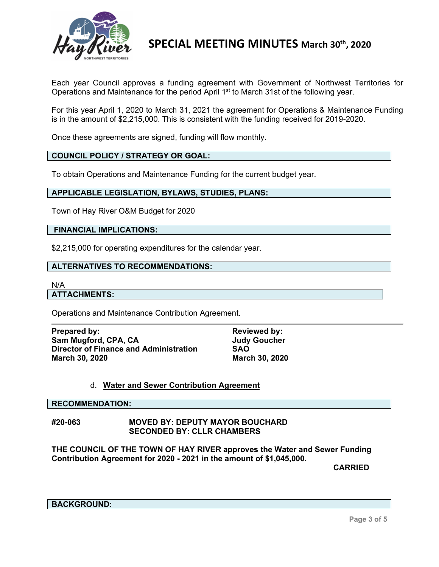

Each year Council approves a funding agreement with Government of Northwest Territories for Operations and Maintenance for the period April 1<sup>st</sup> to March 31st of the following year.

For this year April 1, 2020 to March 31, 2021 the agreement for Operations & Maintenance Funding is in the amount of \$2,215,000. This is consistent with the funding received for 2019-2020.

Once these agreements are signed, funding will flow monthly.

# **COUNCIL POLICY / STRATEGY OR GOAL:**

To obtain Operations and Maintenance Funding for the current budget year.

# **APPLICABLE LEGISLATION, BYLAWS, STUDIES, PLANS:**

Town of Hay River O&M Budget for 2020

# **FINANCIAL IMPLICATIONS:**

\$2,215,000 for operating expenditures for the calendar year.

#### **ALTERNATIVES TO RECOMMENDATIONS:**

#### N/A

## **ATTACHMENTS:**

Operations and Maintenance Contribution Agreement.

**Prepared by: Reviewed by: Sam Mugford, CPA, CA** Judy Goucher<br>Director of Finance and Administration SAO **Director of Finance and Administration SAO March 30, 2020 March 30, 2020**

## d. **Water and Sewer Contribution Agreement**

#### **RECOMMENDATION:**

## **#20-063 MOVED BY: DEPUTY MAYOR BOUCHARD SECONDED BY: CLLR CHAMBERS**

**THE COUNCIL OF THE TOWN OF HAY RIVER approves the Water and Sewer Funding Contribution Agreement for 2020 - 2021 in the amount of \$1,045,000.**

**CARRIED**

**BACKGROUND:**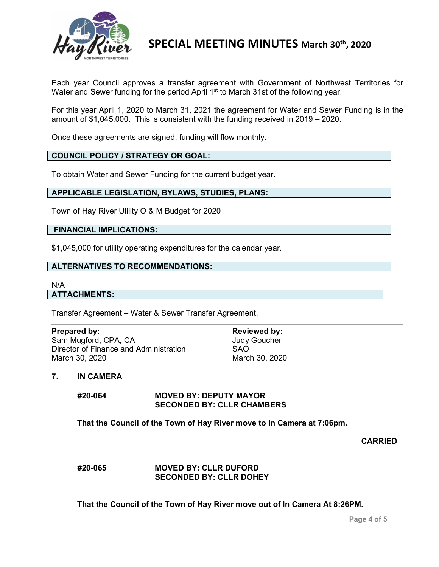

Each year Council approves a transfer agreement with Government of Northwest Territories for Water and Sewer funding for the period April 1<sup>st</sup> to March 31st of the following year.

For this year April 1, 2020 to March 31, 2021 the agreement for Water and Sewer Funding is in the amount of \$1,045,000. This is consistent with the funding received in 2019 – 2020.

Once these agreements are signed, funding will flow monthly.

## **COUNCIL POLICY / STRATEGY OR GOAL:**

To obtain Water and Sewer Funding for the current budget year.

#### **APPLICABLE LEGISLATION, BYLAWS, STUDIES, PLANS:**

Town of Hay River Utility O & M Budget for 2020

# **FINANCIAL IMPLICATIONS:**

\$1,045,000 for utility operating expenditures for the calendar year.

#### **ALTERNATIVES TO RECOMMENDATIONS:**

#### N/A

#### **ATTACHMENTS:**

Transfer Agreement – Water & Sewer Transfer Agreement.

| <b>Reviewed by:</b> |
|---------------------|
| <b>Judy Goucher</b> |
| <b>SAO</b>          |
| March 30, 2020      |
|                     |

#### **7. IN CAMERA**

## **#20-064 MOVED BY: DEPUTY MAYOR SECONDED BY: CLLR CHAMBERS**

**That the Council of the Town of Hay River move to In Camera at 7:06pm.**

**CARRIED**

## **#20-065 MOVED BY: CLLR DUFORD SECONDED BY: CLLR DOHEY**

**That the Council of the Town of Hay River move out of In Camera At 8:26PM.**